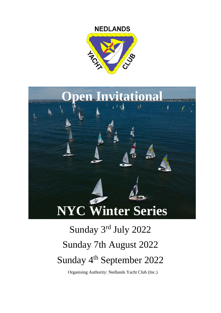# **NEDLANDS**





# Sunday 3rd July 2022 Sunday 7th August 2022 Sunday 4<sup>th</sup> September 2022

Organising Authority: Nedlands Yacht Club (Inc.)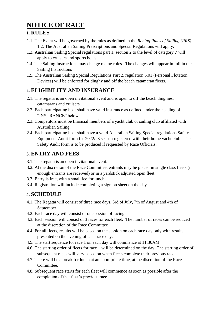# **NOTICE OF RACE**

# **1. RULES**

- 1.1. The Event will be governed by the rules as defined in the *Racing Rules of Sailing (RRS)* 1.2. The Australian Sailing Prescriptions and Special Regulations will apply.
- 1.3. Australian Sailing Special regulations part 1, section 2 to the level of category 7 will apply to cruisers and sports boats.
- 1.4. The Sailing Instructions may change racing rules. The changes will appear in full in the Sailing Instructions
- 1.5. The Australian Sailing Special Regulations Part 2, regulation 5.01 (Personal Flotation Devices) will be enforced for dinghy and off the beach catamaran fleets.

# **2. ELIGIBILITY AND INSURANCE**

- 2.1. The regatta is an open invitational event and is open to off the beach dinghies, catamarans and cruisers.
- 2.2. Each participating boat shall have valid insurance as defined under the heading of "INSURANCE" below.
- 2.3. Competitors must be financial members of a yacht club or sailing club affiliated with Australian Sailing.
- 2.4. Each participating boat shall have a valid Australian Sailing Special regulations Safety Equipment Audit form for 2022/23 season registered with their home yacht club. The Safety Audit form is to be produced if requested by Race Officials.

# **3. ENTRY AND FEES**

- 3.1. The regatta is an open invitational event.
- 3.2. At the discretion of the Race Committee, entrants may be placed in single class fleets (if enough entrants are received) or in a yardstick adjusted open fleet.
- 3.3. Entry is free, with a small fee for lunch.
- 3.4. Registration will include completing a sign on sheet on the day

# **4. SCHEDULE**

- 4.1. The Regatta will consist of three race days, 3rd of July, 7th of August and 4th of September.
- 4.2. Each race day will consist of one session of racing.
- 4.3. Each session will consist of 3 races for each fleet. The number of races can be reduced at the discretion of the Race Committee
- 4.4. For all fleets, results will be based on the session on each race day only with results presented on the evening of each race day.
- 4.5. The start sequence for race 1 on each day will commence at 11:30AM.
- 4.6. The starting order of fleets for race 1 will be determined on the day. The starting order of subsequent races will vary based on when fleets complete their previous race.
- 4.7. There will be a break for lunch at an appropriate time, at the discretion of the Race Committee.
- 4.8. Subsequent race starts for each fleet will commence as soon as possible after the completion of that fleet's previous race.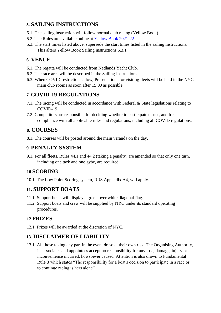# **5. SAILING INSTRUCTIONS**

- 5.1. The sailing instruction will follow normal club racing (Yellow Book)
- 5.2. The Rules are available online at [Y](https://www.nyc.org.au/sailing/sailing-programme-yellowbook/)ellow Book 2021-22
- 5.3. The start times listed above, supersede the start times listed in the sailing instructions. This alters Yellow Book Sailing instructions 6.3.1

#### **6. VENUE**

- 6.1. The regatta will be conducted from Nedlands Yacht Club.
- 6.2. The race area will be described in the Sailing Instructions
- 6.3. When COVID restrictions allow, Presentations for visiting fleets will be held in the NYC main club rooms as soon after 15:00 as possible

## **7. COVID-19 REGULATIONS**

- 7.1. The racing will be conducted in accordance with Federal & State legislations relating to COVID-19.
- 7.2. Competitors are responsible for deciding whether to participate or not, and for compliance with all applicable rules and regulations, including all COVID regulations.

#### **8. COURSES**

8.1. The courses will be posted around the main veranda on the day.

#### **9. PENALTY SYSTEM**

9.1. For all fleets, Rules 44.1 and 44.2 (taking a penalty) are amended so that only one turn, including one tack and one gybe, are required.

#### **10 SCORING**

10.1. The Low Point Scoring system, RRS Appendix A4, will apply.

#### **11. SUPPORT BOATS**

- 11.1. Support boats will display a green over white diagonal flag.
- 11.2. Support boats and crew will be supplied by NYC under its standard operating procedures.

#### **12 PRIZES**

12.1. Prizes will be awarded at the discretion of NYC.

# **13. DISCLAIMER OF LIABILITY**

13.1. All those taking any part in the event do so at their own risk. The Organising Authority, its associates and appointees accept no responsibility for any loss, damage, injury or inconvenience incurred, howsoever caused. Attention is also drawn to Fundamental Rule 3 which states "The responsibility for a boat's decision to participate in a race or to continue racing is hers alone".